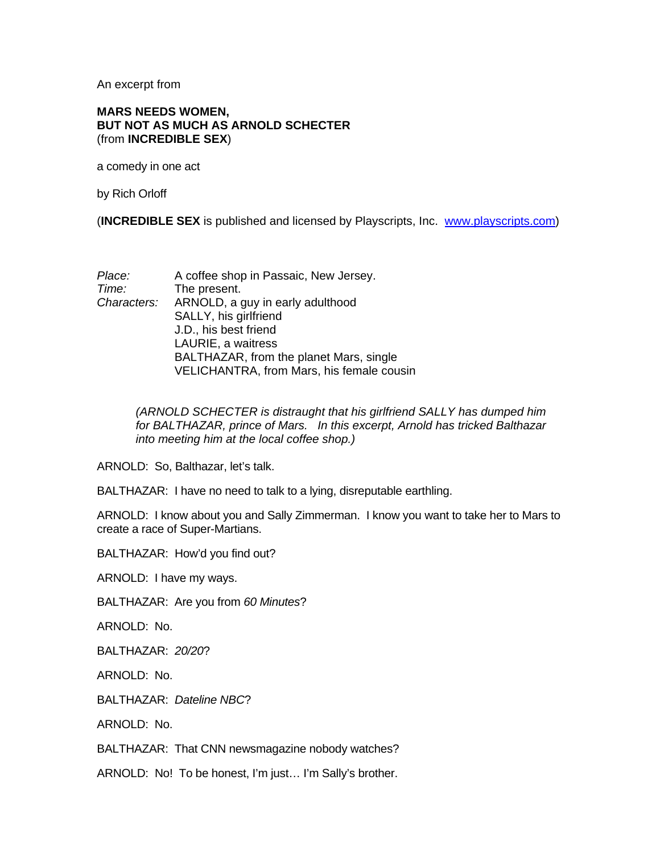An excerpt from

## **MARS NEEDS WOMEN, BUT NOT AS MUCH AS ARNOLD SCHECTER**  (from **INCREDIBLE SEX**)

a comedy in one act

by Rich Orloff

(**INCREDIBLE SEX** is published and licensed by Playscripts, Inc. [www.playscripts.com](http://www.playscripts.com/))

| Place:      | A coffee shop in Passaic, New Jersey.     |
|-------------|-------------------------------------------|
| Time:       | The present.                              |
| Characters: | ARNOLD, a guy in early adulthood          |
|             | SALLY, his girlfriend                     |
|             | J.D., his best friend                     |
|             | LAURIE, a waitress                        |
|             | BALTHAZAR, from the planet Mars, single   |
|             | VELICHANTRA, from Mars, his female cousin |

*(ARNOLD SCHECTER is distraught that his girlfriend SALLY has dumped him for BALTHAZAR, prince of Mars. In this excerpt, Arnold has tricked Balthazar into meeting him at the local coffee shop.)* 

ARNOLD: So, Balthazar, let's talk.

BALTHAZAR: I have no need to talk to a lying, disreputable earthling.

ARNOLD: I know about you and Sally Zimmerman. I know you want to take her to Mars to create a race of Super-Martians.

BALTHAZAR: How'd you find out?

ARNOLD: I have my ways.

BALTHAZAR: Are you from *60 Minutes*?

ARNOLD: No.

BALTHAZAR: *20/20*?

ARNOLD: No.

BALTHAZAR: *Dateline NBC*?

ARNOLD: No.

BALTHAZAR: That CNN newsmagazine nobody watches?

ARNOLD: No! To be honest, I'm just… I'm Sally's brother.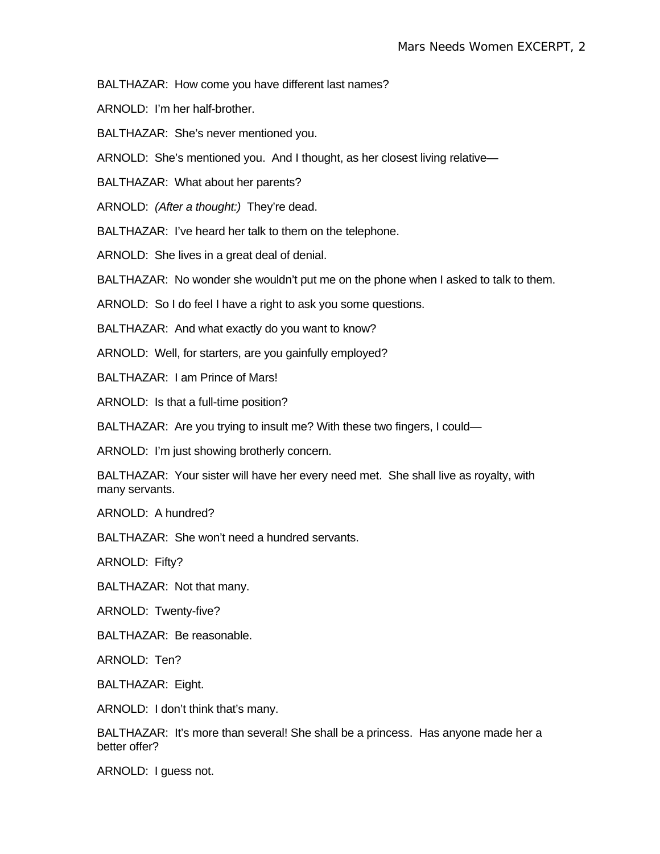BALTHAZAR: How come you have different last names?

ARNOLD: I'm her half-brother.

BALTHAZAR: She's never mentioned you.

ARNOLD: She's mentioned you. And I thought, as her closest living relative—

BALTHAZAR: What about her parents?

ARNOLD: *(After a thought:)* They're dead.

BALTHAZAR: I've heard her talk to them on the telephone.

ARNOLD: She lives in a great deal of denial.

BALTHAZAR: No wonder she wouldn't put me on the phone when I asked to talk to them.

ARNOLD: So I do feel I have a right to ask you some questions.

BALTHAZAR: And what exactly do you want to know?

ARNOLD: Well, for starters, are you gainfully employed?

BALTHAZAR: I am Prince of Mars!

ARNOLD: Is that a full-time position?

BALTHAZAR: Are you trying to insult me? With these two fingers, I could—

ARNOLD: I'm just showing brotherly concern.

BALTHAZAR: Your sister will have her every need met. She shall live as royalty, with many servants.

ARNOLD: A hundred?

BALTHAZAR: She won't need a hundred servants.

ARNOLD: Fifty?

BALTHAZAR: Not that many.

ARNOLD: Twenty-five?

BALTHAZAR: Be reasonable.

ARNOLD: Ten?

BALTHAZAR: Eight.

ARNOLD: I don't think that's many.

BALTHAZAR: It's more than several! She shall be a princess. Has anyone made her a better offer?

ARNOLD: I guess not.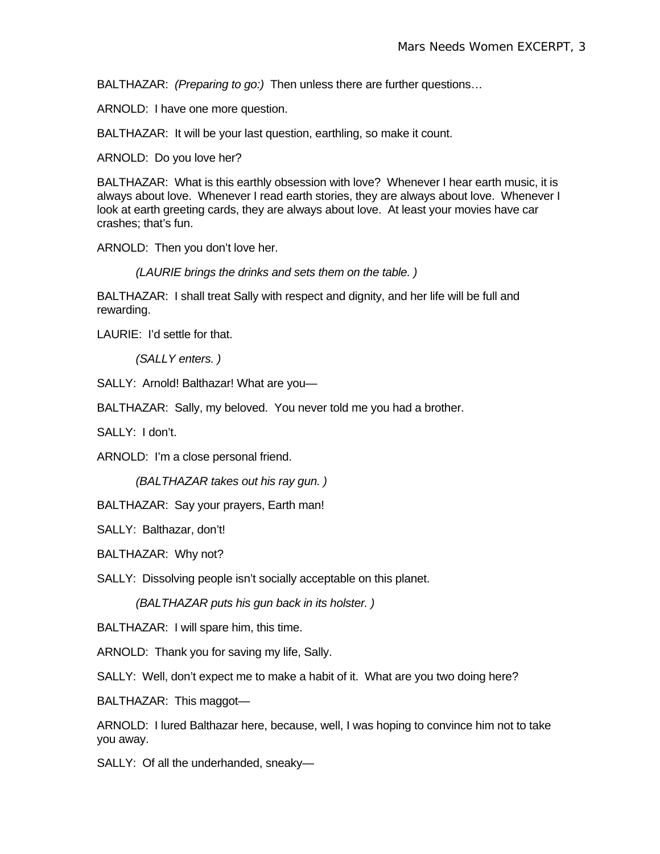BALTHAZAR: *(Preparing to go:)* Then unless there are further questions…

ARNOLD: I have one more question.

BALTHAZAR: It will be your last question, earthling, so make it count.

ARNOLD: Do you love her?

BALTHAZAR: What is this earthly obsession with love? Whenever I hear earth music, it is always about love. Whenever I read earth stories, they are always about love. Whenever I look at earth greeting cards, they are always about love. At least your movies have car crashes; that's fun.

ARNOLD: Then you don't love her.

*(LAURIE brings the drinks and sets them on the table. )* 

BALTHAZAR: I shall treat Sally with respect and dignity, and her life will be full and rewarding.

LAURIE: I'd settle for that.

*(SALLY enters. )* 

SALLY: Arnold! Balthazar! What are you—

BALTHAZAR: Sally, my beloved. You never told me you had a brother.

SALLY: I don't.

ARNOLD: I'm a close personal friend.

*(BALTHAZAR takes out his ray gun. )* 

BALTHAZAR: Say your prayers, Earth man!

SALLY: Balthazar, don't!

BALTHAZAR: Why not?

SALLY: Dissolving people isn't socially acceptable on this planet.

*(BALTHAZAR puts his gun back in its holster. )* 

BALTHAZAR: I will spare him, this time.

ARNOLD: Thank you for saving my life, Sally.

SALLY: Well, don't expect me to make a habit of it. What are you two doing here?

BALTHAZAR: This maggot—

ARNOLD: I lured Balthazar here, because, well, I was hoping to convince him not to take you away.

SALLY: Of all the underhanded, sneaky—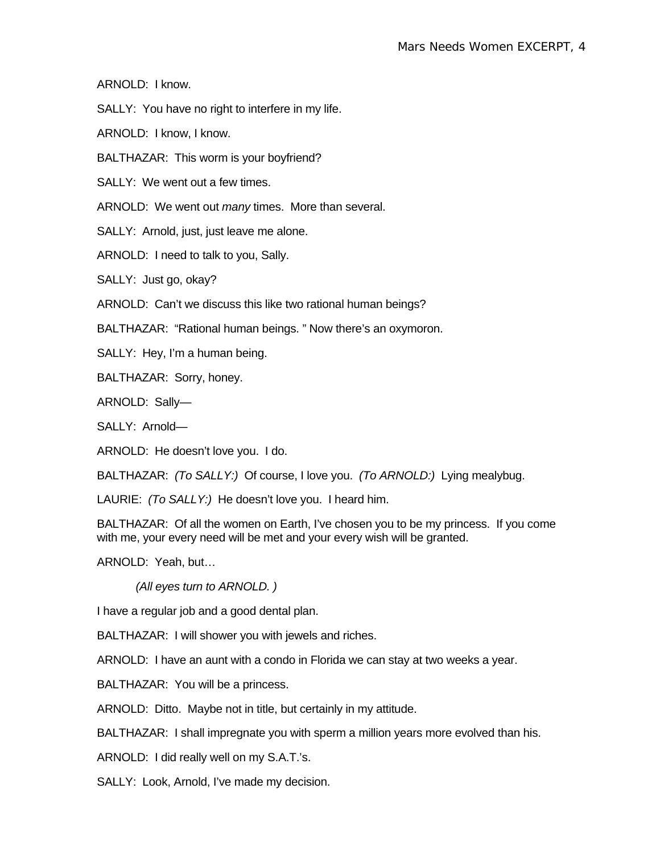ARNOLD: I know.

SALLY: You have no right to interfere in my life.

ARNOLD: I know, I know.

BALTHAZAR: This worm is your boyfriend?

SALLY: We went out a few times.

ARNOLD: We went out *many* times. More than several.

SALLY: Arnold, just, just leave me alone.

ARNOLD: I need to talk to you, Sally.

SALLY: Just go, okay?

ARNOLD: Can't we discuss this like two rational human beings?

BALTHAZAR: "Rational human beings. " Now there's an oxymoron.

SALLY: Hey, I'm a human being.

BALTHAZAR: Sorry, honey.

ARNOLD: Sally—

SALLY: Arnold—

ARNOLD: He doesn't love you. I do.

BALTHAZAR: *(To SALLY:)* Of course, I love you. *(To ARNOLD:)* Lying mealybug.

LAURIE: *(To SALLY:)* He doesn't love you. I heard him.

BALTHAZAR: Of all the women on Earth, I've chosen you to be my princess. If you come with me, your every need will be met and your every wish will be granted.

ARNOLD: Yeah, but…

*(All eyes turn to ARNOLD. )* 

I have a regular job and a good dental plan.

BALTHAZAR: I will shower you with jewels and riches.

ARNOLD: I have an aunt with a condo in Florida we can stay at two weeks a year.

BALTHAZAR: You will be a princess.

ARNOLD: Ditto. Maybe not in title, but certainly in my attitude.

BALTHAZAR: I shall impregnate you with sperm a million years more evolved than his.

ARNOLD: I did really well on my S.A.T.'s.

SALLY: Look, Arnold, I've made my decision.